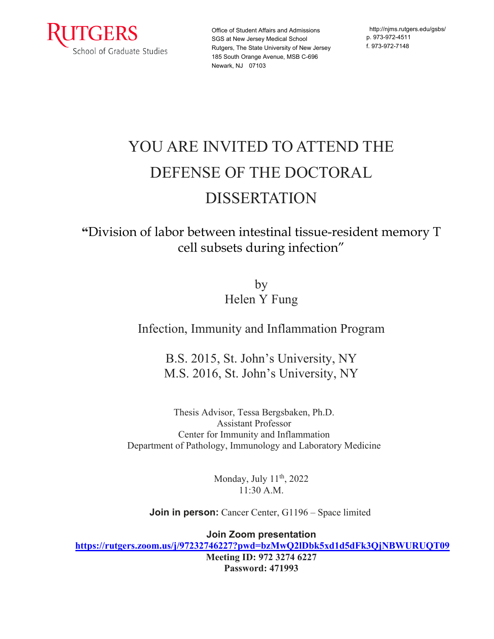

Office of Student Affairs and Admissions SGS at New Jersey Medical School Rutgers, The State University of New Jersey 185 South Orange Avenue, MSB C-696 Newark, NJ 07103

http:/[/njms.rutgers.edu/gsbs/](http://njms.rutgers.edu/gsbs/) p. 973-972-4511 f. 973-972-7148

## YOU ARE INVITED TO ATTEND THE DEFENSE OF THE DOCTORAL DISSERTATION

**"**Division of labor between intestinal tissue-resident memory T cell subsets during infection"

> by Helen Y Fung

Infection, Immunity and Inflammation Program

B.S. 2015, St. John's University, NY M.S. 2016, St. John's University, NY

Thesis Advisor, Tessa Bergsbaken, Ph.D. Assistant Professor Center for Immunity and Inflammation Department of Pathology, Immunology and Laboratory Medicine

> Monday, July 11<sup>th</sup>, 2022 11:30 A.M.

**Join in person:** Cancer Center, G1196 – Space limited

**Join Zoom presentation**

**<https://rutgers.zoom.us/j/97232746227?pwd=bzMwQ2lDbk5xd1d5dFk3QjNBWURUQT09>**

**Meeting ID: 972 3274 6227 Password: 471993**